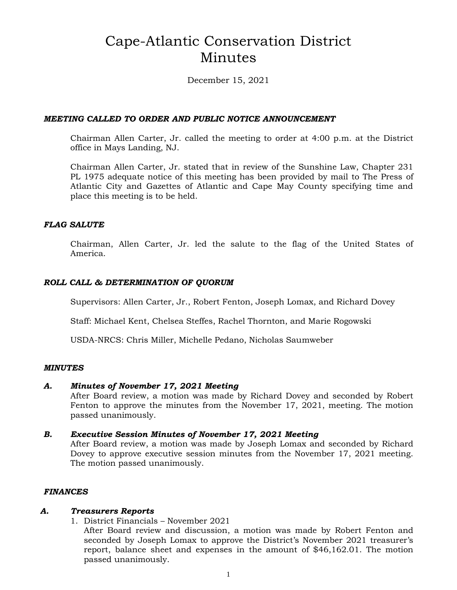# Cape-Atlantic Conservation District Minutes

December 15, 2021

### *MEETING CALLED TO ORDER AND PUBLIC NOTICE ANNOUNCEMENT*

Chairman Allen Carter, Jr. called the meeting to order at 4:00 p.m. at the District office in Mays Landing, NJ.

Chairman Allen Carter, Jr. stated that in review of the Sunshine Law, Chapter 231 PL 1975 adequate notice of this meeting has been provided by mail to The Press of Atlantic City and Gazettes of Atlantic and Cape May County specifying time and place this meeting is to be held.

### *FLAG SALUTE*

Chairman, Allen Carter, Jr. led the salute to the flag of the United States of America.

### *ROLL CALL & DETERMINATION OF QUORUM*

Supervisors: Allen Carter, Jr., Robert Fenton, Joseph Lomax, and Richard Dovey

Staff: Michael Kent, Chelsea Steffes, Rachel Thornton, and Marie Rogowski

USDA-NRCS: Chris Miller, Michelle Pedano, Nicholas Saumweber

### *MINUTES*

### *A. Minutes of November 17, 2021 Meeting*

After Board review, a motion was made by Richard Dovey and seconded by Robert Fenton to approve the minutes from the November 17, 2021, meeting. The motion passed unanimously.

### *B. Executive Session Minutes of November 17, 2021 Meeting*

After Board review, a motion was made by Joseph Lomax and seconded by Richard Dovey to approve executive session minutes from the November 17, 2021 meeting. The motion passed unanimously.

### *FINANCES*

### *A. Treasurers Reports*

1. District Financials – November 2021

After Board review and discussion, a motion was made by Robert Fenton and seconded by Joseph Lomax to approve the District's November 2021 treasurer's report, balance sheet and expenses in the amount of \$46,162.01. The motion passed unanimously.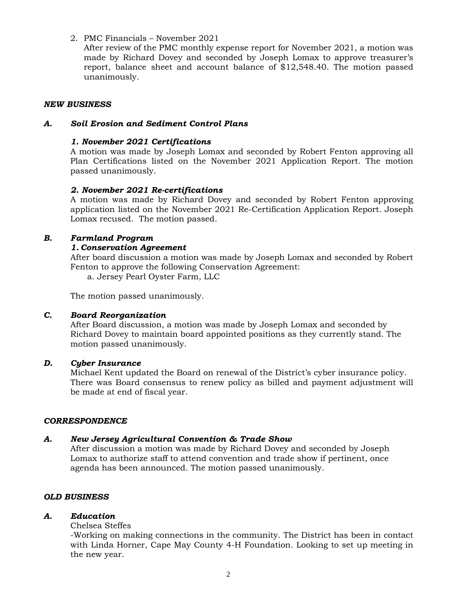2. PMC Financials – November 2021

After review of the PMC monthly expense report for November 2021, a motion was made by Richard Dovey and seconded by Joseph Lomax to approve treasurer's report, balance sheet and account balance of \$12,548.40. The motion passed unanimously.

### *NEW BUSINESS*

### *A. Soil Erosion and Sediment Control Plans*

### *1. November 2021 Certifications*

A motion was made by Joseph Lomax and seconded by Robert Fenton approving all Plan Certifications listed on the November 2021 Application Report. The motion passed unanimously.

### *2. November 2021 Re-certifications*

A motion was made by Richard Dovey and seconded by Robert Fenton approving application listed on the November 2021 Re-Certification Application Report. Joseph Lomax recused. The motion passed.

### *B. Farmland Program*

### *1. Conservation Agreement*

After board discussion a motion was made by Joseph Lomax and seconded by Robert Fenton to approve the following Conservation Agreement:

a. Jersey Pearl Oyster Farm, LLC

The motion passed unanimously.

### *C. Board Reorganization*

After Board discussion, a motion was made by Joseph Lomax and seconded by Richard Dovey to maintain board appointed positions as they currently stand. The motion passed unanimously.

### *D. Cyber Insurance*

Michael Kent updated the Board on renewal of the District's cyber insurance policy. There was Board consensus to renew policy as billed and payment adjustment will be made at end of fiscal year.

### *CORRESPONDENCE*

# *A. New Jersey Agricultural Convention & Trade Show*

After discussion a motion was made by Richard Dovey and seconded by Joseph Lomax to authorize staff to attend convention and trade show if pertinent, once agenda has been announced. The motion passed unanimously.

# *OLD BUSINESS*

# *A. Education*

# Chelsea Steffes

-Working on making connections in the community. The District has been in contact with Linda Horner, Cape May County 4-H Foundation. Looking to set up meeting in the new year.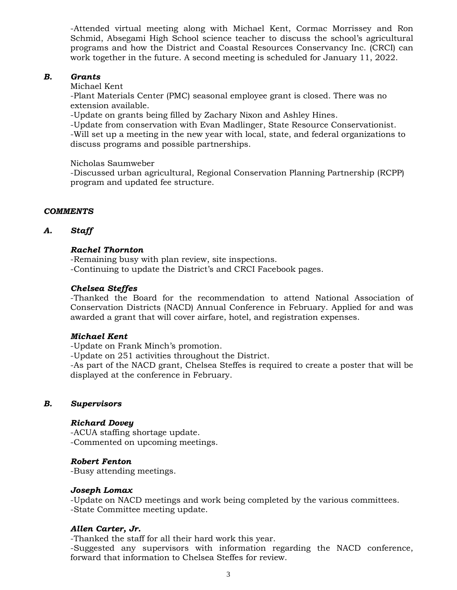-Attended virtual meeting along with Michael Kent, Cormac Morrissey and Ron Schmid, Absegami High School science teacher to discuss the school's agricultural programs and how the District and Coastal Resources Conservancy Inc. (CRCI) can work together in the future. A second meeting is scheduled for January 11, 2022.

### *B. Grants*

Michael Kent

-Plant Materials Center (PMC) seasonal employee grant is closed. There was no extension available.

-Update on grants being filled by Zachary Nixon and Ashley Hines.

-Update from conservation with Evan Madlinger, State Resource Conservationist.

-Will set up a meeting in the new year with local, state, and federal organizations to discuss programs and possible partnerships.

Nicholas Saumweber

-Discussed urban agricultural, Regional Conservation Planning Partnership (RCPP) program and updated fee structure.

### *COMMENTS*

### *A. Staff*

### *Rachel Thornton*

-Remaining busy with plan review, site inspections.

-Continuing to update the District's and CRCI Facebook pages.

### *Chelsea Steffes*

-Thanked the Board for the recommendation to attend National Association of Conservation Districts (NACD) Annual Conference in February. Applied for and was awarded a grant that will cover airfare, hotel, and registration expenses.

### *Michael Kent*

-Update on Frank Minch's promotion.

-Update on 251 activities throughout the District.

-As part of the NACD grant, Chelsea Steffes is required to create a poster that will be displayed at the conference in February.

### *B. Supervisors*

### *Richard Dovey*

-ACUA staffing shortage update. -Commented on upcoming meetings.

### *Robert Fenton*

-Busy attending meetings.

### *Joseph Lomax*

-Update on NACD meetings and work being completed by the various committees. -State Committee meeting update.

### *Allen Carter, Jr.*

-Thanked the staff for all their hard work this year.

-Suggested any supervisors with information regarding the NACD conference, forward that information to Chelsea Steffes for review.